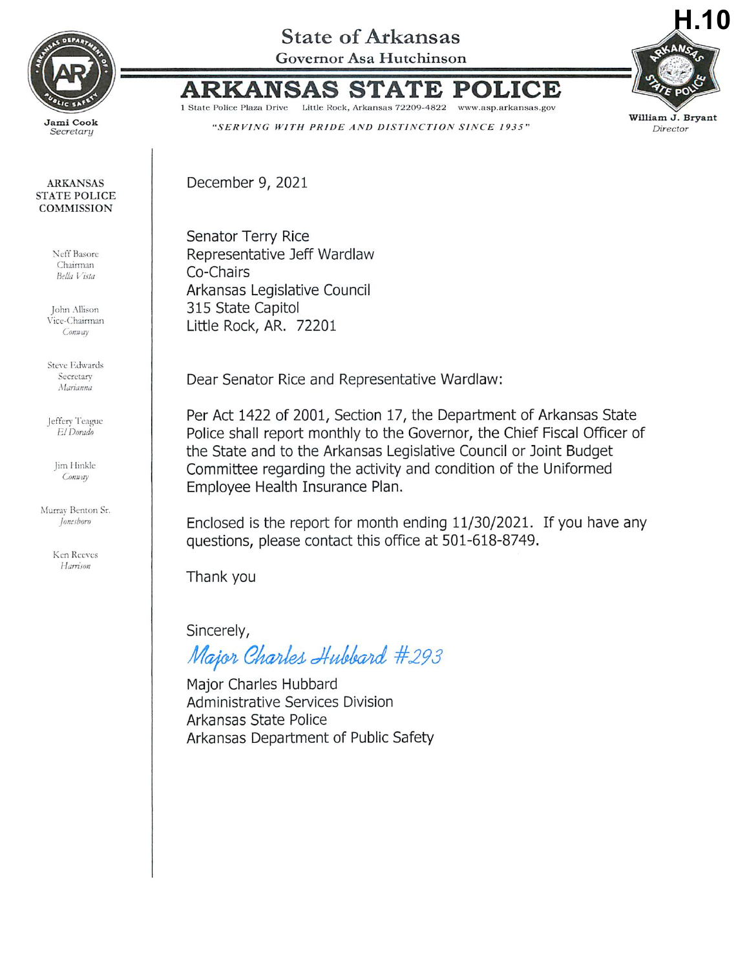

Secretary

## **ARKANSAS STATE POLICE COMMISSION**

Neff Basore Chairman Bella Vista

John Allison Vice-Chairman Conway

**Steve Edwards** Secretary Marianna

Jeffery Teague El Dorado

> Jim Hinkle Conway

Murray Benton Sr. *Ioneshoro* 

> Ken Reeves Harrison

## **State of Arkansas**

Governor Asa Hutchinson



'R

1 State Police Plaza Drive Little Rock, Arkansas 72209-4822 www.asp.arkansas.gov "SERVING WITH PRIDE AND DISTINCTION SINCE 1935"

December 9, 2021

ARK

Senator Terry Rice Representative Jeff Wardlaw Co-Chairs Arkansas Legislative Council 315 State Capitol Little Rock, AR. 72201

Dear Senator Rice and Representative Wardlaw:

Per Act 1422 of 2001, Section 17, the Department of Arkansas State Police shall report monthly to the Governor, the Chief Fiscal Officer of the State and to the Arkansas Legislative Council or Joint Budget Committee regarding the activity and condition of the Uniformed Employee Health Insurance Plan.

Enclosed is the report for month ending 11/30/2021. If you have any questions, please contact this office at 501-618-8749.

Thank you

Sincerely,

Major Charles Hubbard #293

Maior Charles Hubbard **Administrative Services Division** Arkansas State Police Arkansas Department of Public Safety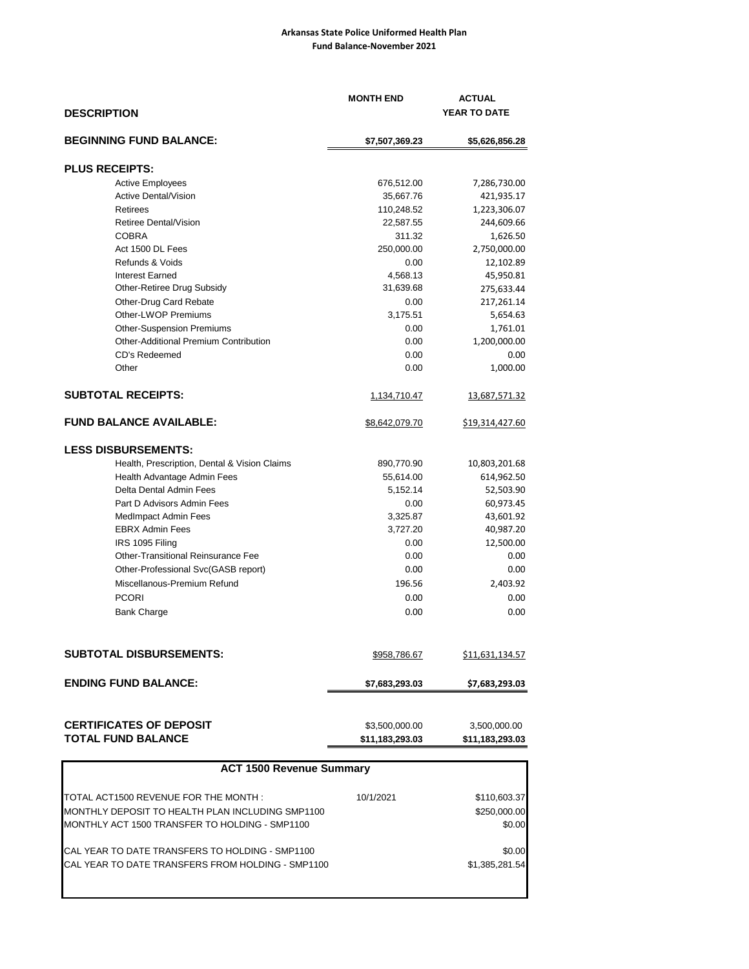## **Arkansas State Police Uniformed Health Plan Fund Balance-November 2021**

| <b>DESCRIPTION</b>                           | <b>MONTH END</b>      | <b>ACTUAL</b><br>YEAR TO DATE |  |
|----------------------------------------------|-----------------------|-------------------------------|--|
| <b>BEGINNING FUND BALANCE:</b>               | \$7,507,369.23        | \$5,626,856.28                |  |
| <b>PLUS RECEIPTS:</b>                        |                       |                               |  |
| <b>Active Employees</b>                      | 676,512.00            | 7,286,730.00                  |  |
| <b>Active Dental/Vision</b>                  | 35,667.76             | 421,935.17                    |  |
| Retirees                                     | 110,248.52            | 1,223,306.07                  |  |
| Retiree Dental/Vision                        | 22,587.55             | 244,609.66                    |  |
| <b>COBRA</b>                                 | 311.32                | 1,626.50                      |  |
| Act 1500 DL Fees                             | 250,000.00            | 2,750,000.00                  |  |
| Refunds & Voids                              | 0.00                  | 12,102.89                     |  |
| <b>Interest Earned</b>                       | 4,568.13              | 45,950.81                     |  |
| Other-Retiree Drug Subsidy                   | 31,639.68             | 275,633.44                    |  |
| Other-Drug Card Rebate                       | 0.00                  | 217,261.14                    |  |
| Other-LWOP Premiums                          | 3,175.51              | 5,654.63                      |  |
| <b>Other-Suspension Premiums</b>             | 0.00                  | 1,761.01                      |  |
| Other-Additional Premium Contribution        | 0.00                  | 1,200,000.00                  |  |
| CD's Redeemed                                | 0.00                  | 0.00                          |  |
| Other                                        | 0.00                  | 1,000.00                      |  |
| <b>SUBTOTAL RECEIPTS:</b>                    | <u>1,134,710.47</u>   | 13,687,571.32                 |  |
| <b>FUND BALANCE AVAILABLE:</b>               | <u>\$8,642,079.70</u> | \$19,314,427.60               |  |
| <b>LESS DISBURSEMENTS:</b>                   |                       |                               |  |
| Health, Prescription, Dental & Vision Claims | 890,770.90            | 10,803,201.68                 |  |
| Health Advantage Admin Fees                  | 55,614.00             | 614,962.50                    |  |
| Delta Dental Admin Fees                      | 5,152.14              | 52,503.90                     |  |
| Part D Advisors Admin Fees                   | 0.00                  | 60,973.45                     |  |
| <b>MedImpact Admin Fees</b>                  | 3,325.87              | 43,601.92                     |  |
| <b>EBRX Admin Fees</b>                       | 3,727.20              | 40,987.20                     |  |
| IRS 1095 Filing                              | 0.00                  | 12,500.00                     |  |
| Other-Transitional Reinsurance Fee           | 0.00                  | 0.00                          |  |
| Other-Professional Svc(GASB report)          | 0.00                  | 0.00                          |  |
| Miscellanous-Premium Refund                  | 196.56                | 2,403.92                      |  |
| <b>PCORI</b>                                 | 0.00                  | 0.00                          |  |
| <b>Bank Charge</b>                           | 0.00                  | 0.00                          |  |
|                                              |                       |                               |  |
| <b>SUBTOTAL DISBURSEMENTS:</b>               | \$958,786.67          | \$11,631,134.57               |  |
| <b>ENDING FUND BALANCE:</b>                  | \$7,683,293.03        | \$7,683,293.03                |  |
| <b>CERTIFICATES OF DEPOSIT</b>               | \$3,500,000.00        | 3,500,000.00                  |  |
| <b>TOTAL FUND BALANCE</b>                    | \$11,183,293.03       | \$11,183,293.03               |  |

| \$110,603.37<br>10/1/2021 |
|---------------------------|
| \$250,000.00              |
| \$0.00                    |
| \$0.00                    |
| \$1,385,281.54            |
|                           |